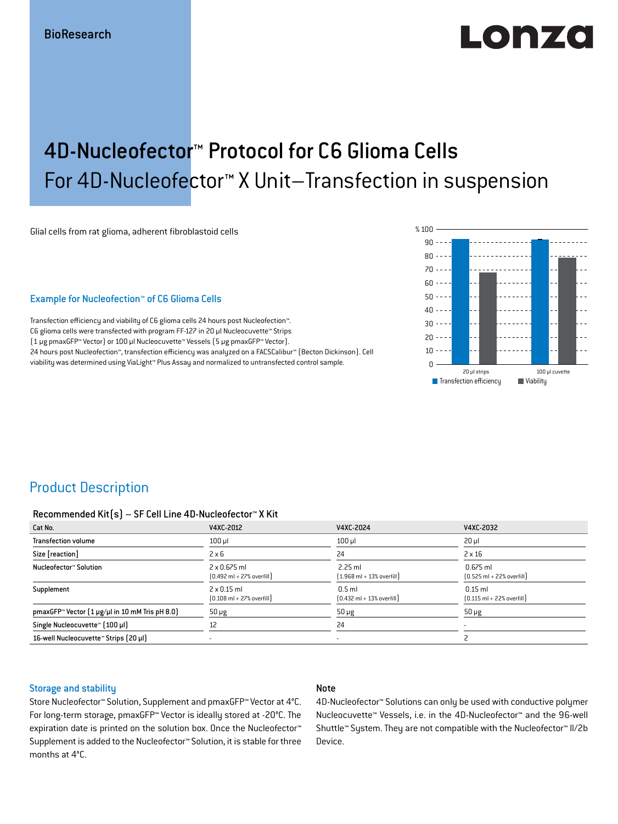# LONZO

## 4D-Nucleofector™ Protocol for C6 Glioma Cells For 4D-Nucleofector™ X Unit–Transfection in suspension

Glial cells from rat glioma, adherent fibroblastoid cells

#### Example for Nucleofection™ of C6 Glioma Cells

Transfection efficiency and viability of C6 glioma cells 24 hours post Nucleofection™. C6 glioma cells were transfected with program FF-127 in 20 μl Nucleocuvette™ Strips (1 μg pmaxGFP™ Vector) or 100 μl Nucleocuvette™ Vessels (5 μg pmaxGFP™ Vector). 24 hours post Nucleofection™, transfection efficiency was analyzed on a FACSCalibur™ (Becton Dickinson). Cell viability was determined using ViaLight™ Plus Assay and normalized to untransfected control sample.



### Product Description

#### Recommended Kit(s) – SF Cell Line 4D-Nucleofector™ X Kit

| Cat No.                                                           | V4XC-2012                                                           | V4XC-2024                                                 | V4XC-2032                                                  |
|-------------------------------------------------------------------|---------------------------------------------------------------------|-----------------------------------------------------------|------------------------------------------------------------|
| <b>Transfection volume</b>                                        | $100$ $\mu$                                                         | $100$ $\mu$                                               | $20 \mu$                                                   |
| Size [reaction]                                                   | $2 \times 6$                                                        | 24                                                        | $2 \times 16$                                              |
| Nucleofector™ Solution                                            | $2 \times 0.675$ ml<br>$[0.492 \text{ ml} + 27\% \text{ overfill}]$ | $2.25$ ml<br>$(1.968 \text{ ml} + 13\% \text{ overfill})$ | $0.675$ ml<br>$[0.525 \text{ ml} + 22\% \text{ overfill}]$ |
| Supplement                                                        | $2 \times 0.15$ ml<br>$[0.108 \text{ ml} + 27\% \text{ overfill}]$  | $0.5$ ml<br>$[0.432 \text{ ml} + 13\% \text{ overfill}]$  | $0.15$ ml<br>$[0.115 \text{ ml} + 22\% \text{ overfill}]$  |
| pmaxGFP <sup>*</sup> Vector $(1 \mu g/\mu)$ in 10 mM Tris pH 8.0) | $50 \mu g$                                                          | $50 \mu g$                                                | $50 \mu g$                                                 |
| Single Nucleocuvette™ [100 µl]                                    | 12                                                                  | 24                                                        | $\overline{\phantom{a}}$                                   |
| 16-well Nucleocuvette™ Strips (20 µl)                             |                                                                     | $\blacksquare$                                            |                                                            |

### Storage and stability

### Note

Store Nucleofector™ Solution, Supplement and pmaxGFP™ Vector at 4°C. For long-term storage, pmaxGFP™ Vector is ideally stored at -20°C. The expiration date is printed on the solution box. Once the Nucleofector<sup>™</sup> Supplement is added to the Nucleofector™ Solution, it is stable for three months at 4°C.

4D-Nucleofector™ Solutions can only be used with conductive polymer Nucleocuvette™ Vessels, i.e. in the 4D-Nucleofector™ and the 96-well Shuttle™ System. They are not compatible with the Nucleofector™ II/2b Device.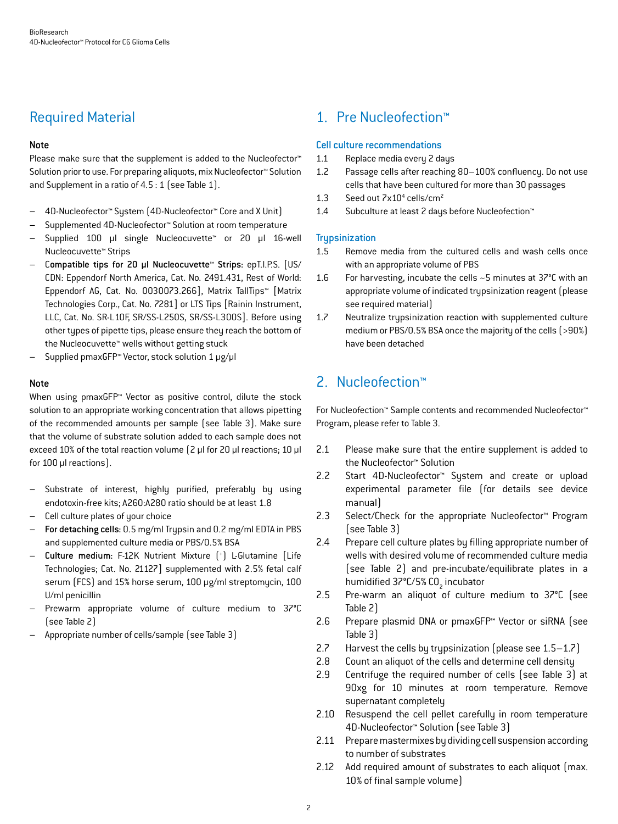### Required Material

### Note

Please make sure that the supplement is added to the Nucleofector<sup>™</sup> Solution prior to use. For preparing aliquots, mix Nucleofector™ Solution and Supplement in a ratio of 4.5 : 1 (see Table 1).

- 4D-Nucleofector™ System (4D-Nucleofector™ Core and X Unit)
- Supplemented 4D-Nucleofector™ Solution at room temperature
- Supplied 100 µl single Nucleocuvette™ or 20 µl 16-well Nucleocuvette™ Strips
- Compatible tips for 20 µl Nucleocuvette™ Strips: epT.I.P.S. [US/ CDN: Eppendorf North America, Cat. No. 2491.431, Rest of World: Eppendorf AG, Cat. No. 0030073.266], Matrix TallTips™ [Matrix Technologies Corp., Cat. No. 7281] or LTS Tips [Rainin Instrument, LLC, Cat. No. SR-L10F, SR/SS-L250S, SR/SS-L300S]. Before using other types of pipette tips, please ensure they reach the bottom of the Nucleocuvette™ wells without getting stuck
- Supplied pmaxGFP™ Vector, stock solution 1 μg/μl

#### Note

When using pmaxGFP™ Vector as positive control, dilute the stock solution to an appropriate working concentration that allows pipetting of the recommended amounts per sample (see Table 3). Make sure that the volume of substrate solution added to each sample does not exceed 10% of the total reaction volume (2 μl for 20 μl reactions; 10 μl for 100 μl reactions).

- Substrate of interest, highly purified, preferably by using endotoxin-free kits; A260:A280 ratio should be at least 1.8
- Cell culture plates of your choice
- For detaching cells: 0.5 mg/ml Trypsin and 0.2 mg/ml EDTA in PBS and supplemented culture media or PBS/0.5% BSA
- Culture medium: F-12K Nutrient Mixture (+ ) L-Glutamine [Life Technologies; Cat. No. 21127] supplemented with 2.5% fetal calf serum (FCS) and 15% horse serum, 100 μg/ml streptomycin, 100 U/ml penicillin
- Prewarm appropriate volume of culture medium to 37°C (see Table 2)
- Appropriate number of cells/sample (see Table 3)

### 1. Pre Nucleofection™

### Cell culture recommendations

- 1.1 Replace media every 2 days
- 1.2 Passage cells after reaching 80–100% confluency. Do not use cells that have been cultured for more than 30 passages
- 1.3 Seed out  $7 \times 10^4$  cells/cm<sup>2</sup>
- 1.4 Subculture at least 2 days before Nucleofection™

### **Trypsinization**

- 1.5 Remove media from the cultured cells and wash cells once with an appropriate volume of PBS
- 1.6 For harvesting, incubate the cells ~5 minutes at 37°C with an appropriate volume of indicated trypsinization reagent (please see required material)
- 1.7 Neutralize trypsinization reaction with supplemented culture medium or PBS/0.5% BSA once the majority of the cells (>90%) have been detached

### 2. Nucleofection™

For Nucleofection™ Sample contents and recommended Nucleofector™ Program, please refer to Table 3.

- 2.1 Please make sure that the entire supplement is added to the Nucleofector™ Solution
- 2.2 Start 4D-Nucleofector™ System and create or upload experimental parameter file (for details see device manual)
- 2.3 Select/Check for the appropriate Nucleofector™ Program (see Table 3)
- 2.4 Prepare cell culture plates by filling appropriate number of wells with desired volume of recommended culture media (see Table 2) and pre-incubate/equilibrate plates in a humidified 37°C/5% CO<sub>2</sub> incubator
- 2.5 Pre-warm an aliquot of culture medium to 37°C (see Table 2)
- 2.6 Prepare plasmid DNA or pmaxGFP™ Vector or siRNA (see Table 3)
- 2.7 Harvest the cells by trypsinization (please see 1.5–1.7)
- 2.8 Count an aliquot of the cells and determine cell density
- 2.9 Centrifuge the required number of cells (see Table 3) at 90xg for 10 minutes at room temperature. Remove supernatant completely
- 2.10 Resuspend the cell pellet carefully in room temperature 4D-Nucleofector™ Solution (see Table 3)
- 2.11 Prepare mastermixes by dividing cell suspension according to number of substrates
- 2.12 Add required amount of substrates to each aliquot (max. 10% of final sample volume)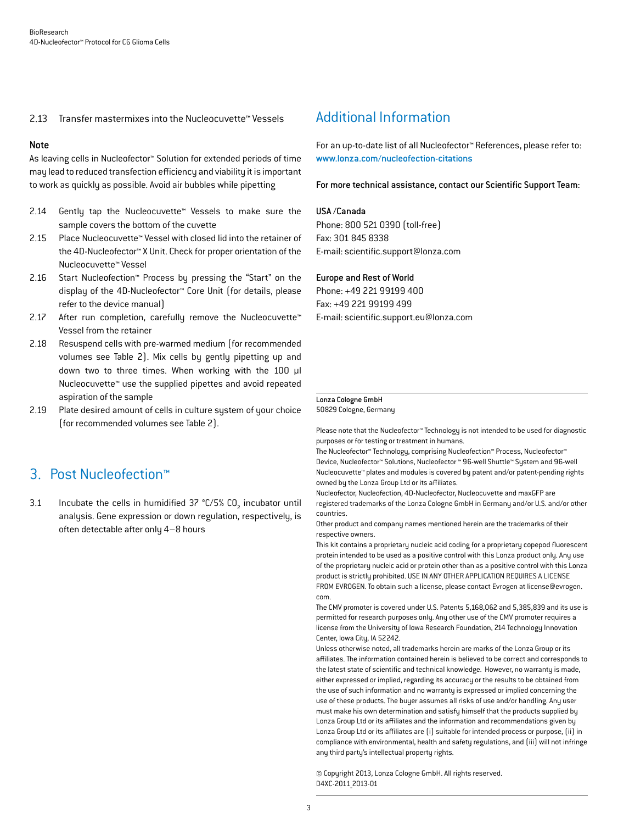### 2.13 Transfer mastermixes into the Nucleocuvette™ Vessels

#### Note

As leaving cells in Nucleofector™ Solution for extended periods of time may lead to reduced transfection efficiency and viability it is important to work as quickly as possible. Avoid air bubbles while pipetting

- 2.14 Gently tap the Nucleocuvette™ Vessels to make sure the sample covers the bottom of the cuvette
- 2.15 Place Nucleocuvette™ Vessel with closed lid into the retainer of the 4D-Nucleofector™ X Unit. Check for proper orientation of the Nucleocuvette™ Vessel
- 2.16 Start Nucleofection™ Process by pressing the "Start" on the display of the 4D-Nucleofector™ Core Unit (for details, please refer to the device manual)
- 2.17 After run completion, carefully remove the Nucleocuvette™ Vessel from the retainer
- 2.18 Resuspend cells with pre-warmed medium (for recommended volumes see Table 2). Mix cells by gently pipetting up and down two to three times. When working with the 100 µl Nucleocuvette™ use the supplied pipettes and avoid repeated aspiration of the sample
- 2.19 Plate desired amount of cells in culture system of your choice (for recommended volumes see Table 2).

### 3. Post Nucleofection™

3.1 Incubate the cells in humidified 37  $°C/5%$  CO<sub>2</sub> incubator until analysis. Gene expression or down regulation, respectively, is often detectable after only 4–8 hours

### Additional Information

For an up-to-date list of all Nucleofector™ References, please refer to: www.lonza.com/nucleofection-citations

For more technical assistance, contact our Scientific Support Team:

#### USA /Canada

Phone: 800 521 0390 (toll-free) Fax: 301 845 8338 E-mail: scientific.support@lonza.com

#### Europe and Rest of World

Phone: +49 221 99199 400 Fax: +49 221 99199 499 E-mail: scientific.support.eu@lonza.com

### Lonza Cologne GmbH

50829 Cologne, Germany

Please note that the Nucleofector™ Technology is not intended to be used for diagnostic purposes or for testing or treatment in humans.

The Nucleofector™ Technology, comprising Nucleofection™ Process, Nucleofector™ Device, Nucleofector™ Solutions, Nucleofector ™ 96-well Shuttle™ System and 96-well Nucleocuvette™ plates and modules is covered by patent and/or patent-pending rights owned by the Lonza Group Ltd or its affiliates.

Nucleofector, Nucleofection, 4D-Nucleofector, Nucleocuvette and maxGFP are registered trademarks of the Lonza Cologne GmbH in Germany and/or U.S. and/or other countries.

Other product and company names mentioned herein are the trademarks of their respective owners.

This kit contains a proprietary nucleic acid coding for a proprietary copepod fluorescent protein intended to be used as a positive control with this Lonza product only. Any use of the proprietary nucleic acid or protein other than as a positive control with this Lonza product is strictly prohibited. USE IN ANY OTHER APPLICATION REQUIRES A LICENSE FROM EVROGEN. To obtain such a license, please contact Evrogen at license@evrogen. com.

The CMV promoter is covered under U.S. Patents 5,168,062 and 5,385,839 and its use is permitted for research purposes only. Any other use of the CMV promoter requires a license from the University of Iowa Research Foundation, 214 Technology Innovation Center, Iowa City, IA 52242.

Unless otherwise noted, all trademarks herein are marks of the Lonza Group or its affiliates. The information contained herein is believed to be correct and corresponds to the latest state of scientific and technical knowledge. However, no warranty is made, either expressed or implied, regarding its accuracy or the results to be obtained from the use of such information and no warranty is expressed or implied concerning the use of these products. The buyer assumes all risks of use and/or handling. Any user must make his own determination and satisfy himself that the products supplied by Lonza Group Ltd or its affiliates and the information and recommendations given by Lonza Group Ltd or its affiliates are (i) suitable for intended process or purpose, (ii) in compliance with environmental, health and safety regulations, and (iii) will not infringe any third party's intellectual property rights.

© Copyright 2013, Lonza Cologne GmbH. All rights reserved. D4XC-2011\_2013-01